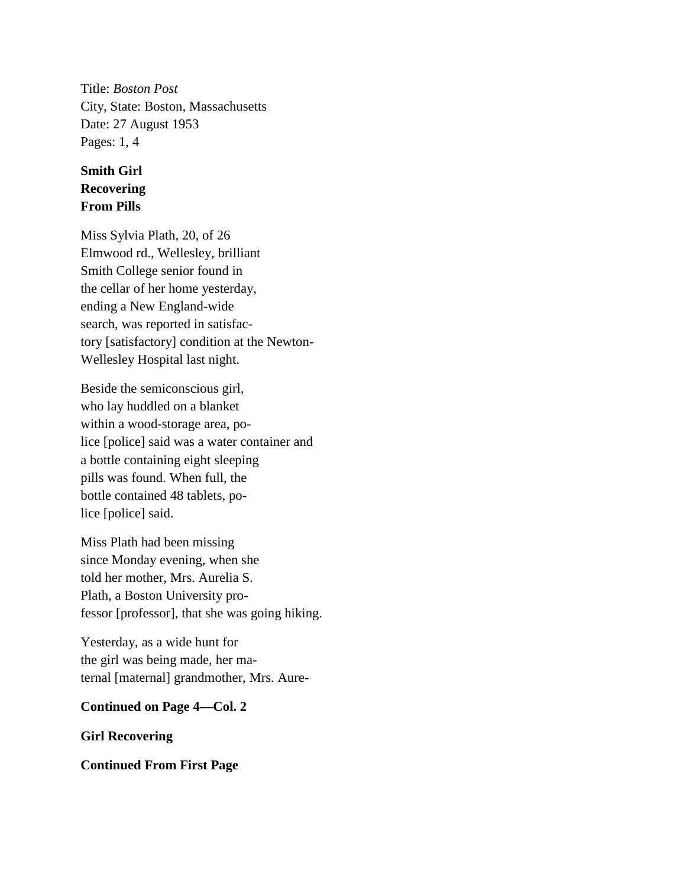Title: *Boston Post* City, State: Boston, Massachusetts Date: 27 August 1953 Pages: 1, 4

## **Smith Girl Recovering From Pills**

Miss Sylvia Plath, 20, of 26 Elmwood rd., Wellesley, brilliant Smith College senior found in the cellar of her home yesterday, ending a New England-wide search, was reported in satisfactory [satisfactory] condition at the Newton-Wellesley Hospital last night.

Beside the semiconscious girl, who lay huddled on a blanket within a wood-storage area, police [police] said was a water container and a bottle containing eight sleeping pills was found. When full, the bottle contained 48 tablets, police [police] said.

Miss Plath had been missing since Monday evening, when she told her mother, Mrs. Aurelia S. Plath, a Boston University professor [professor], that she was going hiking.

Yesterday, as a wide hunt for the girl was being made, her maternal [maternal] grandmother, Mrs. Aure-

## **Continued on Page 4—Col. 2**

## **Girl Recovering**

**Continued From First Page**